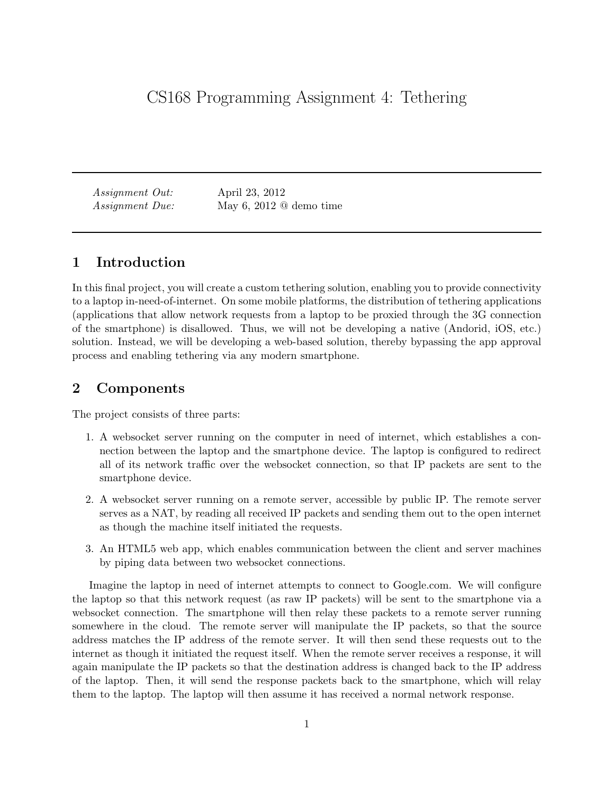Assignment Out: April 23, 2012 Assignment Due: May 6, 2012 @ demo time

# 1 Introduction

In this final project, you will create a custom tethering solution, enabling you to provide connectivity to a laptop in-need-of-internet. On some mobile platforms, the distribution of tethering applications (applications that allow network requests from a laptop to be proxied through the 3G connection of the smartphone) is disallowed. Thus, we will not be developing a native (Andorid, iOS, etc.) solution. Instead, we will be developing a web-based solution, thereby bypassing the app approval process and enabling tethering via any modern smartphone.

# 2 Components

The project consists of three parts:

- 1. A websocket server running on the computer in need of internet, which establishes a connection between the laptop and the smartphone device. The laptop is configured to redirect all of its network traffic over the websocket connection, so that IP packets are sent to the smartphone device.
- 2. A websocket server running on a remote server, accessible by public IP. The remote server serves as a NAT, by reading all received IP packets and sending them out to the open internet as though the machine itself initiated the requests.
- 3. An HTML5 web app, which enables communication between the client and server machines by piping data between two websocket connections.

Imagine the laptop in need of internet attempts to connect to Google.com. We will configure the laptop so that this network request (as raw IP packets) will be sent to the smartphone via a websocket connection. The smartphone will then relay these packets to a remote server running somewhere in the cloud. The remote server will manipulate the IP packets, so that the source address matches the IP address of the remote server. It will then send these requests out to the internet as though it initiated the request itself. When the remote server receives a response, it will again manipulate the IP packets so that the destination address is changed back to the IP address of the laptop. Then, it will send the response packets back to the smartphone, which will relay them to the laptop. The laptop will then assume it has received a normal network response.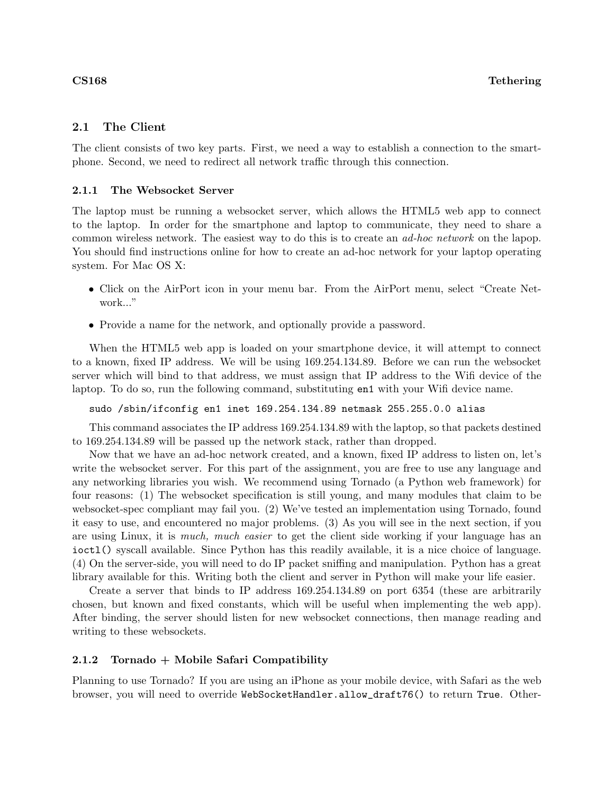## 2.1 The Client

The client consists of two key parts. First, we need a way to establish a connection to the smartphone. Second, we need to redirect all network traffic through this connection.

### 2.1.1 The Websocket Server

The laptop must be running a websocket server, which allows the HTML5 web app to connect to the laptop. In order for the smartphone and laptop to communicate, they need to share a common wireless network. The easiest way to do this is to create an *ad-hoc network* on the lapop. You should find instructions online for how to create an ad-hoc network for your laptop operating system. For Mac OS X:

- Click on the AirPort icon in your menu bar. From the AirPort menu, select "Create Network..."
- Provide a name for the network, and optionally provide a password.

When the HTML5 web app is loaded on your smartphone device, it will attempt to connect to a known, fixed IP address. We will be using 169.254.134.89. Before we can run the websocket server which will bind to that address, we must assign that IP address to the Wifi device of the laptop. To do so, run the following command, substituting en1 with your Wifi device name.

sudo /sbin/ifconfig en1 inet 169.254.134.89 netmask 255.255.0.0 alias

This command associates the IP address 169.254.134.89 with the laptop, so that packets destined to 169.254.134.89 will be passed up the network stack, rather than dropped.

Now that we have an ad-hoc network created, and a known, fixed IP address to listen on, let's write the websocket server. For this part of the assignment, you are free to use any language and any networking libraries you wish. We recommend using Tornado (a Python web framework) for four reasons: (1) The websocket specification is still young, and many modules that claim to be websocket-spec compliant may fail you. (2) We've tested an implementation using Tornado, found it easy to use, and encountered no major problems. (3) As you will see in the next section, if you are using Linux, it is *much*, *much* easier to get the client side working if your language has an ioctl() syscall available. Since Python has this readily available, it is a nice choice of language. (4) On the server-side, you will need to do IP packet sniffing and manipulation. Python has a great library available for this. Writing both the client and server in Python will make your life easier.

Create a server that binds to IP address 169.254.134.89 on port 6354 (these are arbitrarily chosen, but known and fixed constants, which will be useful when implementing the web app). After binding, the server should listen for new websocket connections, then manage reading and writing to these websockets.

### 2.1.2 Tornado + Mobile Safari Compatibility

Planning to use Tornado? If you are using an iPhone as your mobile device, with Safari as the web browser, you will need to override WebSocketHandler.allow\_draft76() to return True. Other-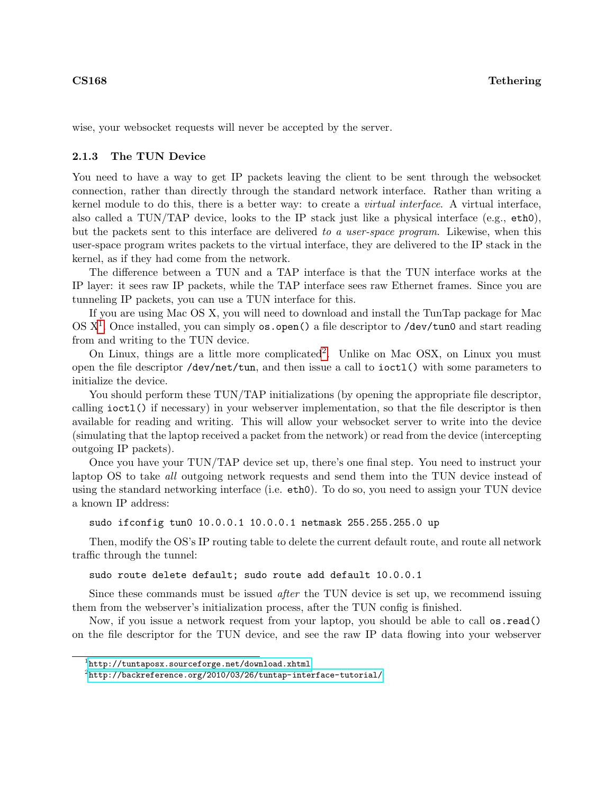wise, your websocket requests will never be accepted by the server.

### 2.1.3 The TUN Device

You need to have a way to get IP packets leaving the client to be sent through the websocket connection, rather than directly through the standard network interface. Rather than writing a kernel module to do this, there is a better way: to create a virtual interface. A virtual interface, also called a TUN/TAP device, looks to the IP stack just like a physical interface (e.g., eth0), but the packets sent to this interface are delivered to a user-space program. Likewise, when this user-space program writes packets to the virtual interface, they are delivered to the IP stack in the kernel, as if they had come from the network.

The difference between a TUN and a TAP interface is that the TUN interface works at the IP layer: it sees raw IP packets, while the TAP interface sees raw Ethernet frames. Since you are tunneling IP packets, you can use a TUN interface for this.

If you are using Mac OS X, you will need to download and install the TunTap package for Mac OS X<sup>[1](#page-2-0)</sup>. Once installed, you can simply os.open() a file descriptor to /dev/tun0 and start reading from and writing to the TUN device.

On Linux, things are a little more complicated<sup>[2](#page-2-1)</sup>. Unlike on Mac OSX, on Linux you must open the file descriptor /dev/net/tun, and then issue a call to ioctl() with some parameters to initialize the device.

You should perform these TUN/TAP initializations (by opening the appropriate file descriptor, calling ioctl() if necessary) in your webserver implementation, so that the file descriptor is then available for reading and writing. This will allow your websocket server to write into the device (simulating that the laptop received a packet from the network) or read from the device (intercepting outgoing IP packets).

Once you have your TUN/TAP device set up, there's one final step. You need to instruct your laptop OS to take all outgoing network requests and send them into the TUN device instead of using the standard networking interface (i.e. eth0). To do so, you need to assign your TUN device a known IP address:

sudo ifconfig tun0 10.0.0.1 10.0.0.1 netmask 255.255.255.0 up

Then, modify the OS's IP routing table to delete the current default route, and route all network traffic through the tunnel:

sudo route delete default; sudo route add default 10.0.0.1

Since these commands must be issued *after* the TUN device is set up, we recommend issuing them from the webserver's initialization process, after the TUN config is finished.

Now, if you issue a network request from your laptop, you should be able to call os.read() on the file descriptor for the TUN device, and see the raw IP data flowing into your webserver

<span id="page-2-0"></span> $^{1}$ <http://tuntaposx.sourceforge.net/download.xhtml>

<span id="page-2-1"></span> $^2$ <http://backreference.org/2010/03/26/tuntap-interface-tutorial/>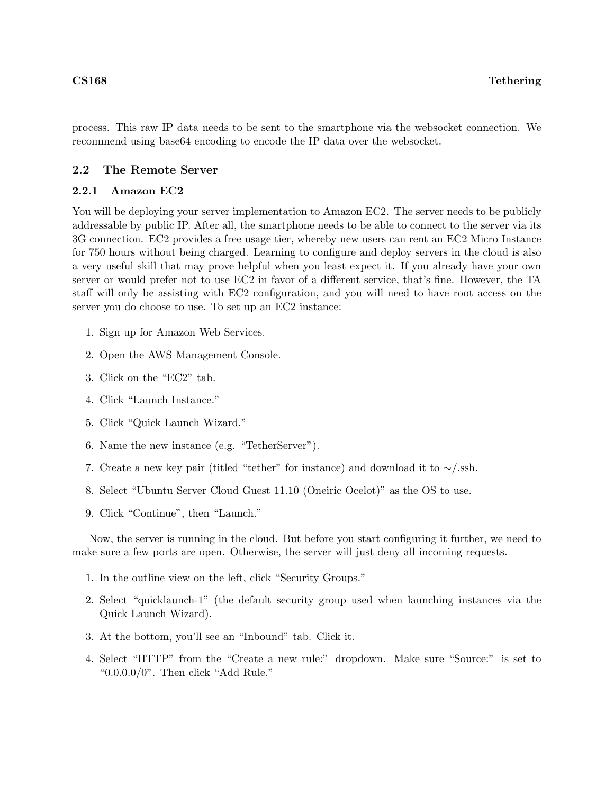process. This raw IP data needs to be sent to the smartphone via the websocket connection. We recommend using base64 encoding to encode the IP data over the websocket.

## 2.2 The Remote Server

### 2.2.1 Amazon EC2

You will be deploying your server implementation to Amazon EC2. The server needs to be publicly addressable by public IP. After all, the smartphone needs to be able to connect to the server via its 3G connection. EC2 provides a free usage tier, whereby new users can rent an EC2 Micro Instance for 750 hours without being charged. Learning to configure and deploy servers in the cloud is also a very useful skill that may prove helpful when you least expect it. If you already have your own server or would prefer not to use EC2 in favor of a different service, that's fine. However, the TA staff will only be assisting with EC2 configuration, and you will need to have root access on the server you do choose to use. To set up an EC2 instance:

- 1. Sign up for Amazon Web Services.
- 2. Open the AWS Management Console.
- 3. Click on the "EC2" tab.
- 4. Click "Launch Instance."
- 5. Click "Quick Launch Wizard."
- 6. Name the new instance (e.g. "TetherServer").
- 7. Create a new key pair (titled "tether" for instance) and download it to ∼/.ssh.
- 8. Select "Ubuntu Server Cloud Guest 11.10 (Oneiric Ocelot)" as the OS to use.
- 9. Click "Continue", then "Launch."

Now, the server is running in the cloud. But before you start configuring it further, we need to make sure a few ports are open. Otherwise, the server will just deny all incoming requests.

- 1. In the outline view on the left, click "Security Groups."
- 2. Select "quicklaunch-1" (the default security group used when launching instances via the Quick Launch Wizard).
- 3. At the bottom, you'll see an "Inbound" tab. Click it.
- 4. Select "HTTP" from the "Create a new rule:" dropdown. Make sure "Source:" is set to "0.0.0.0/0". Then click "Add Rule."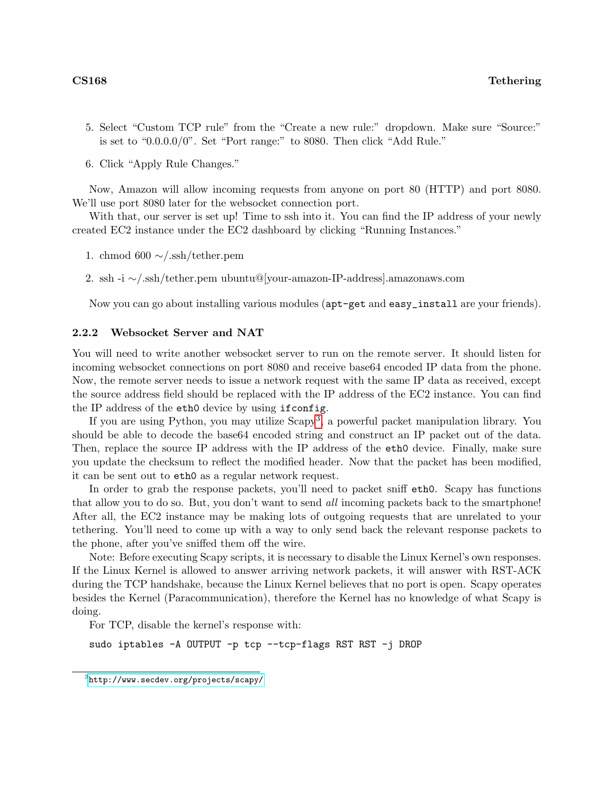- 5. Select "Custom TCP rule" from the "Create a new rule:" dropdown. Make sure "Source:" is set to "0.0.0.0/0". Set "Port range:" to 8080. Then click "Add Rule."
- 6. Click "Apply Rule Changes."

Now, Amazon will allow incoming requests from anyone on port 80 (HTTP) and port 8080. We'll use port 8080 later for the websocket connection port.

With that, our server is set up! Time to ssh into it. You can find the IP address of your newly created EC2 instance under the EC2 dashboard by clicking "Running Instances."

- 1. chmod 600 ∼/.ssh/tether.pem
- 2. ssh -i ∼/.ssh/tether.pem ubuntu@[your-amazon-IP-address].amazonaws.com

Now you can go about installing various modules (apt-get and easy\_install are your friends).

### 2.2.2 Websocket Server and NAT

You will need to write another websocket server to run on the remote server. It should listen for incoming websocket connections on port 8080 and receive base64 encoded IP data from the phone. Now, the remote server needs to issue a network request with the same IP data as received, except the source address field should be replaced with the IP address of the EC2 instance. You can find the IP address of the eth0 device by using ifconfig.

If you are using Python, you may utilize  $Scapy<sup>3</sup>$  $Scapy<sup>3</sup>$  $Scapy<sup>3</sup>$ , a powerful packet manipulation library. You should be able to decode the base64 encoded string and construct an IP packet out of the data. Then, replace the source IP address with the IP address of the eth0 device. Finally, make sure you update the checksum to reflect the modified header. Now that the packet has been modified, it can be sent out to eth0 as a regular network request.

In order to grab the response packets, you'll need to packet sniff eth0. Scapy has functions that allow you to do so. But, you don't want to send all incoming packets back to the smartphone! After all, the EC2 instance may be making lots of outgoing requests that are unrelated to your tethering. You'll need to come up with a way to only send back the relevant response packets to the phone, after you've sniffed them off the wire.

Note: Before executing Scapy scripts, it is necessary to disable the Linux Kernel's own responses. If the Linux Kernel is allowed to answer arriving network packets, it will answer with RST-ACK during the TCP handshake, because the Linux Kernel believes that no port is open. Scapy operates besides the Kernel (Paracommunication), therefore the Kernel has no knowledge of what Scapy is doing.

For TCP, disable the kernel's response with:

sudo iptables -A OUTPUT -p tcp --tcp-flags RST RST -j DROP

<span id="page-4-0"></span> $^3$ <http://www.secdev.org/projects/scapy/>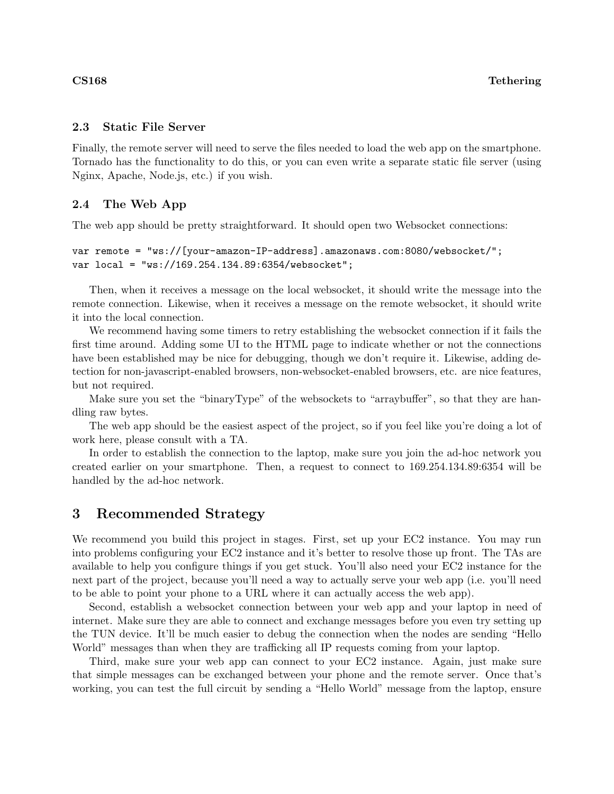## 2.3 Static File Server

Finally, the remote server will need to serve the files needed to load the web app on the smartphone. Tornado has the functionality to do this, or you can even write a separate static file server (using Nginx, Apache, Node.js, etc.) if you wish.

# 2.4 The Web App

The web app should be pretty straightforward. It should open two Websocket connections:

```
var remote = "ws://[your-amazon-IP-address].amazonaws.com:8080/websocket/";
var local = "ws://169.254.134.89:6354/websocket";
```
Then, when it receives a message on the local websocket, it should write the message into the remote connection. Likewise, when it receives a message on the remote websocket, it should write it into the local connection.

We recommend having some timers to retry establishing the websocket connection if it fails the first time around. Adding some UI to the HTML page to indicate whether or not the connections have been established may be nice for debugging, though we don't require it. Likewise, adding detection for non-javascript-enabled browsers, non-websocket-enabled browsers, etc. are nice features, but not required.

Make sure you set the "binaryType" of the websockets to "arraybuffer", so that they are handling raw bytes.

The web app should be the easiest aspect of the project, so if you feel like you're doing a lot of work here, please consult with a TA.

In order to establish the connection to the laptop, make sure you join the ad-hoc network you created earlier on your smartphone. Then, a request to connect to 169.254.134.89:6354 will be handled by the ad-hoc network.

# 3 Recommended Strategy

We recommend you build this project in stages. First, set up your EC2 instance. You may run into problems configuring your EC2 instance and it's better to resolve those up front. The TAs are available to help you configure things if you get stuck. You'll also need your EC2 instance for the next part of the project, because you'll need a way to actually serve your web app (i.e. you'll need to be able to point your phone to a URL where it can actually access the web app).

Second, establish a websocket connection between your web app and your laptop in need of internet. Make sure they are able to connect and exchange messages before you even try setting up the TUN device. It'll be much easier to debug the connection when the nodes are sending "Hello World" messages than when they are trafficking all IP requests coming from your laptop.

Third, make sure your web app can connect to your EC2 instance. Again, just make sure that simple messages can be exchanged between your phone and the remote server. Once that's working, you can test the full circuit by sending a "Hello World" message from the laptop, ensure